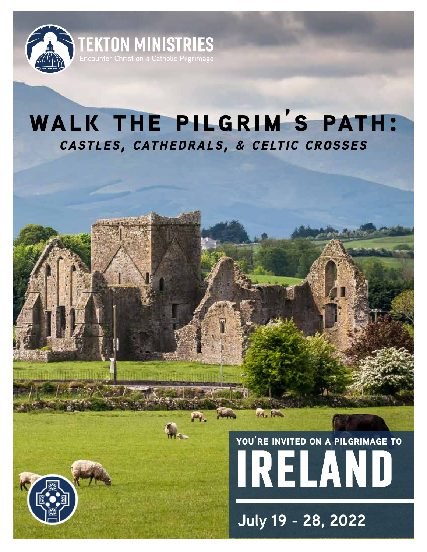

## **walk the pilgrim's path:** *castles, cathedrals, & celtic crosses*

# **ireland you're invited on a pilgrimage to**

**July 19 - 28, 2022**

 $4/4 - 5$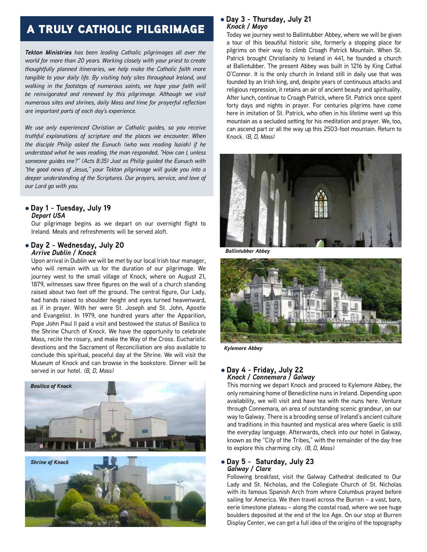## a truly catholic pilgrimage

*Tekton Ministries has been leading Catholic pilgrimages all over the world for more than 20 years. Working closely with your priest to create thoughtfully planned itineraries, we help make the Catholic faith more tangible to your daily life. By visiting holy sites throughout Ireland, and walking in the footsteps of numerous saints, we hope your faith will be reinvigorated and renewed by this pilgrimage. Although we visit numerous sites and shrines, daily Mass and time for prayerful reflection are important parts of each day's experience.*

*We use only experienced Christian or Catholic guides, so you receive truthful explanations of scripture and the places we encounter. When the disciple Philip asked the Eunuch (who was reading Isaiah) if he understood what he was reading, the man responded, "How can I, unless someone guides me?" (Acts 8:35) Just as Philip guided the Eunuch with "the good news of Jesus," your Tekton pilgrimage will guide you into a deeper understanding of the Scriptures. Our prayers, service, and love of our Lord go with you.*

#### l **Day 1 - Tuesday, July 19** *Depart USA*

Our pilgrimage begins as we depart on our overnight flight to Ireland. Meals and refreshments will be served aloft.

#### l **Day 2 - Wednesday, July 20** *Arrive Dublin / Knock*

Upon arrival in Dublin we will be met by our local Irish tour manager, who will remain with us for the duration of our pilgrimage. We journey west to the small village of Knock, where on August 21, 1879, witnesses saw three figures on the wall of a church standing raised about two feet off the ground. The central figure, Our Lady, had hands raised to shoulder height and eyes turned heavenward, as if in prayer. With her were St. Joseph and St. John, Apostle and Evangelist. In 1979, one hundred years after the Apparition, Pope John Paul II paid a visit and bestowed the status of Basilica to the Shrine Church of Knock. We have the opportunity to celebrate Mass, recite the rosary, and make the Way of the Cross. Eucharistic devotions and the Sacrament of Reconciliation are also available to conclude this spiritual, peaceful day at the Shrine. We will visit the Museum of Knock and can browse in the bookstore. Dinner will be served in our hotel. *(B, D, Mass)*





#### l **Day 3 - Thursday, July 21** *Knock / Mayo*

Today we journey west to Ballintubber Abbey, where we will be given a tour of this beautiful historic site, formerly a stopping place for pilgrims on their way to climb Croagh Patrick Mountain. When St. Patrick brought Christianity to Ireland in 441, he founded a church at Ballintubber. The present Abbey was built in 1216 by King Cathal O'Connor. It is the only church in Ireland still in daily use that was founded by an Irish king, and, despite years of continuous attacks and religious repression, it retains an air of ancient beauty and spirituality. After lunch, continue to Croagh Patrick, where St. Patrick once spent forty days and nights in prayer. For centuries pilgrims have come here in imitation of St. Patrick, who often in his lifetime went up this mountain as a secluded setting for his meditation and prayer. We, too, can ascend part or all the way up this 2503-foot mountain. Return to Knock. *(B, D, Mass)*



*Ballintubber Abbey*



*Kylemore Abbey*

#### l **Day 4 - Friday, July 22** *Knock / Connemara / Galway*

This morning we depart Knock and proceed to Kylemore Abbey, the only remaining home of Benedictine nuns in Ireland. Depending upon availability, we will visit and have tea with the nuns here. Venture through Connemara, an area of outstanding scenic grandeur, on our way to Galway. There is a brooding sense of Ireland's ancient culture and traditions in this haunted and mystical area where Gaelic is still the everyday language. Afterwards, check into our hotel in Galway, known as the "City of the Tribes," with the remainder of the day free to explore this charming city. *(B, D, Mass)*

#### l **Day 5 - Saturday, July 23** *Galway / Clare*

Following breakfast, visit the Galway Cathedral dedicated to Our Lady and St. Nicholas, and the Collegiate Church of St. Nicholas with its famous Spanish Arch from where Columbus prayed before sailing for America. We then travel across the Burren – a vast, bare, eerie limestone plateau – along the coastal road, where we see huge boulders deposited at the end of the Ice Age. On our stop at Burren Display Center, we can get a full idea of the origins of the topography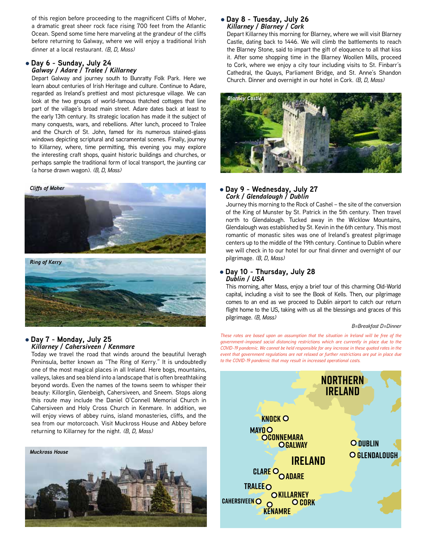of this region before proceeding to the magnificent Cliffs of Moher, a dramatic great sheer rock face rising 700 feet from the Atlantic Ocean. Spend some time here marveling at the grandeur of the cliffs before returning to Galway, where we will enjoy a traditional Irish dinner at a local restaurant. *(B, D, Mass)*

#### l **Day 6 - Sunday, July 24** *Galway / Adare / Tralee / Killarney*

Depart Galway and journey south to Bunratty Folk Park. Here we learn about centuries of Irish Heritage and culture. Continue to Adare, regarded as Ireland's prettiest and most picturesque village. We can look at the two groups of world-famous thatched cottages that line part of the village's broad main street. Adare dates back at least to the early 13th century. Its strategic location has made it the subject of many conquests, wars, and rebellions. After lunch, proceed to Tralee and the Church of St. John, famed for its numerous stained-glass windows depicting scriptural and sacramental scenes. Finally, journey to Killarney, where, time permitting, this evening you may explore the interesting craft shops, quaint historic buildings and churches, or perhaps sample the traditional form of local transport, the jaunting car (a horse drawn wagon). *(B, D, Mass)*



#### l **Day 7 - Monday, July 25** *Killarney / Cahersiveen / Kenmare*

Today we travel the road that winds around the beautiful Iveragh Peninsula, better known as "The Ring of Kerry." It is undoubtedly one of the most magical places in all Ireland. Here bogs, mountains, valleys, lakes and sea blend into a landscape that is often breathtaking beyond words. Even the names of the towns seem to whisper their beauty: Killorglin, Glenbeigh, Cahersiveen, and Sneem. Stops along this route may include the Daniel O'Connell Memorial Church in Cahersiveen and Holy Cross Church in Kenmare. In addition, we will enjoy views of abbey ruins, island monasteries, cliffs, and the sea from our motorcoach. Visit Muckross House and Abbey before returning to Killarney for the night. *(B, D, Mass)*



#### l **Day 8 - Tuesday, July 26** *Killarney / Blarney / Cork*

Depart Killarney this morning for Blarney, where we will visit Blarney Castle, dating back to 1446. We will climb the battlements to reach the Blarney Stone, said to impart the gift of eloquence to all that kiss it. After some shopping time in the Blarney Woollen Mills, proceed to Cork, where we enjoy a city tour including visits to St. Finbarr's Cathedral, the Quays, Parliament Bridge, and St. Anne's Shandon Church. Dinner and overnight in our hotel in Cork. *(B, D, Mass)*



#### l **Day 9 - Wednesday, July 27** *Cork / Glendalough / Dublin*

Journey this morning to the Rock of Cashel – the site of the conversion of the King of Munster by St. Patrick in the 5th century. Then travel north to Glendalough. Tucked away in the Wicklow Mountains, Glendalough was established by St. Kevin in the 6th century. This most romantic of monastic sites was one of Ireland's greatest pilgrimage centers up to the middle of the 19th century. Continue to Dublin where we will check in to our hotel for our final dinner and overnight of our pilgrimage. *(B, D, Mass)*

#### l **Day 10 - Thursday, July 28** *Dublin / USA*

This morning, after Mass, enjoy a brief tour of this charming Old-World capital, including a visit to see the Book of Kells. Then, our pilgrimage comes to an end as we proceed to Dublin airport to catch our return flight home to the US, taking with us all the blessings and graces of this pilgrimage. *(B, Mass)*

#### *B=Breakfast D=Dinner*

*These rates are based upon an assumption that the situation in Ireland will be free of the government-imposed social distancing restrictions which are currently in place due to the COVID-19 pandemic. We cannot be held responsible for any increase in these quoted rates in the event that government regulations are not relaxed or further restrictions are put in place due to the COVID-19 pandemic that may result in increased operational costs.*